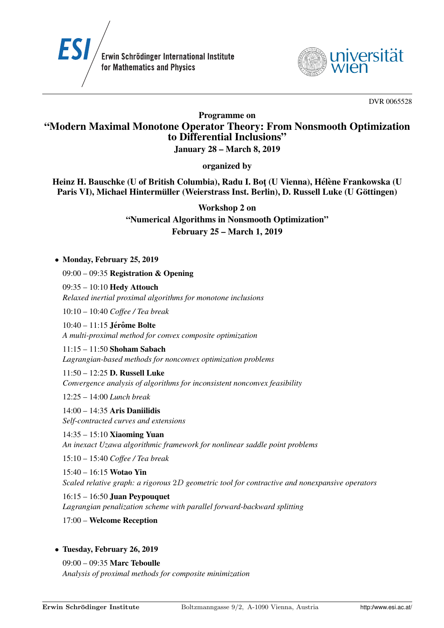



DVR 0065528

Programme on

# "Modern Maximal Monotone Operator Theory: From Nonsmooth Optimization to Differential Inclusions"

January 28 – March 8, 2019

organized by

Heinz H. Bauschke (U of British Columbia), Radu I. Bot (U Vienna), Hélène Frankowska (U Paris VI), Michael Hintermüller (Weierstrass Inst. Berlin), D. Russell Luke (U Göttingen)

Workshop 2 on

"Numerical Algorithms in Nonsmooth Optimization" February 25 – March 1, 2019

# • Monday, February 25, 2019

09:00 – 09:35 Registration & Opening

09:35 – 10:10 Hedy Attouch *Relaxed inertial proximal algorithms for monotone inclusions*

10:10 – 10:40 *Coffee / Tea break*

 $10:40 - 11:15$  Jérôme Bolte *A multi-proximal method for convex composite optimization*

11:15 – 11:50 Shoham Sabach *Lagrangian-based methods for nonconvex optimization problems*

11:50 – 12:25 D. Russell Luke *Convergence analysis of algorithms for inconsistent nonconvex feasibility*

12:25 – 14:00 *Lunch break*

14:00 – 14:35 Aris Daniilidis *Self-contracted curves and extensions*

14:35 – 15:10 Xiaoming Yuan *An inexact Uzawa algorithmic framework for nonlinear saddle point problems*

15:10 – 15:40 *Coffee / Tea break*

15:40 – 16:15 Wotao Yin *Scaled relative graph: a rigorous* 2D *geometric tool for contractive and nonexpansive operators*

16:15 – 16:50 Juan Peypouquet *Lagrangian penalization scheme with parallel forward-backward splitting*

17:00 – Welcome Reception

# • Tuesday, February 26, 2019

09:00 – 09:35 Marc Teboulle *Analysis of proximal methods for composite minimization*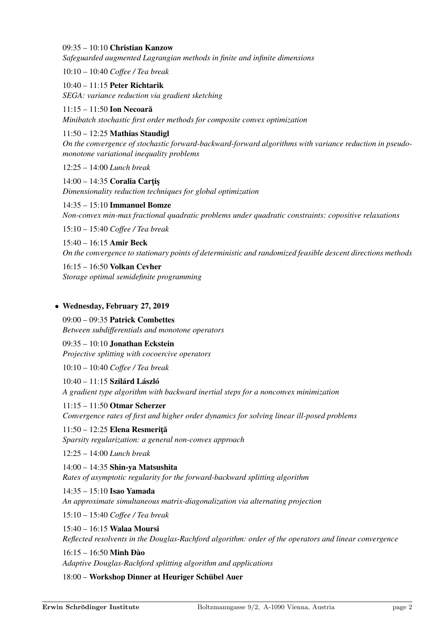## 09:35 – 10:10 Christian Kanzow

*Safeguarded augmented Lagrangian methods in finite and infinite dimensions*

10:10 – 10:40 *Coffee / Tea break*

10:40 – 11:15 Peter Richtarik *SEGA: variance reduction via gradient sketching*

11:15 – 11:50 Ion Necoară *Minibatch stochastic first order methods for composite convex optimization*

## 11:50 – 12:25 Mathias Staudigl

*On the convergence of stochastic forward-backward-forward algorithms with variance reduction in pseudomonotone variational inequality problems*

12:25 – 14:00 *Lunch break*

 $14:00 - 14:35$  Coralia Cartis *Dimensionality reduction techniques for global optimization*

14:35 – 15:10 Immanuel Bomze *Non-convex min-max fractional quadratic problems under quadratic constraints: copositive relaxations*

15:10 – 15:40 *Coffee / Tea break*

15:40 – 16:15 Amir Beck *On the convergence to stationary points of deterministic and randomized feasible descent directions methods*

16:15 – 16:50 Volkan Cevher *Storage optimal semidefinite programming*

## • Wednesday, February 27, 2019

09:00 – 09:35 Patrick Combettes *Between subdifferentials and monotone operators*

09:35 – 10:10 Jonathan Eckstein *Projective splitting with cocoercive operators*

10:10 – 10:40 *Coffee / Tea break*

11:15 – 11:50 Otmar Scherzer

 $10:40 - 11:15$  Szilárd László *A gradient type algorithm with backward inertial steps for a nonconvex minimization*

*Convergence rates of first and higher order dynamics for solving linear ill-posed problems*  $11:50 - 12:25$  Elena Resmerită

*Sparsity regularization: a general non-convex approach*

12:25 – 14:00 *Lunch break*

14:00 – 14:35 Shin-ya Matsushita *Rates of asymptotic regularity for the forward-backward splitting algorithm*

## 14:35 – 15:10 Isao Yamada

*An approximate simultaneous matrix-diagonalization via alternating projection*

15:10 – 15:40 *Coffee / Tea break*

15:40 – 16:15 Walaa Moursi

*Reflected resolvents in the Douglas-Rachford algorithm: order of the operators and linear convergence*

 $16:15 - 16:50$  Minh Đào

*Adaptive Douglas-Rachford splitting algorithm and applications*

18:00 – Workshop Dinner at Heuriger Schübel Auer